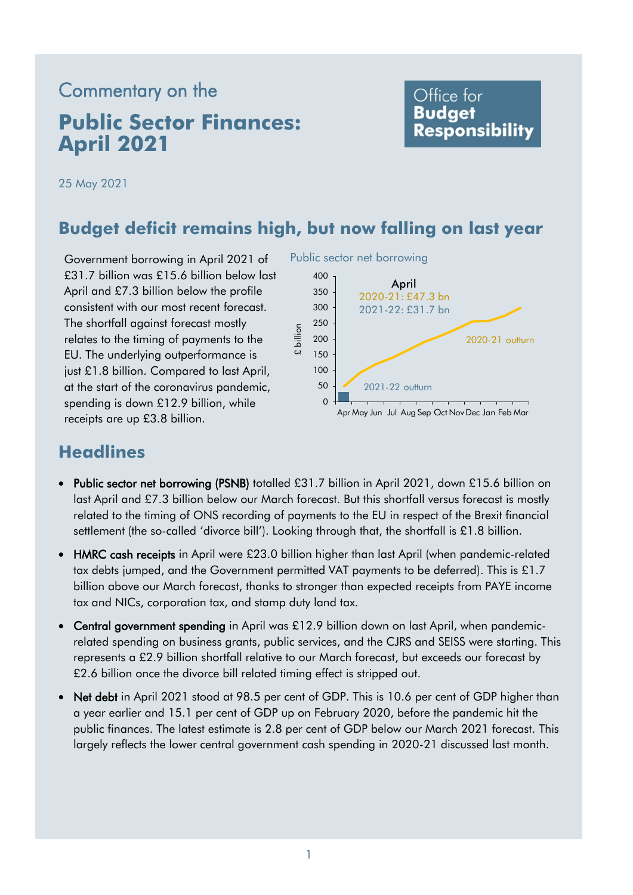# Commentary on the **Public Sector Finances: April 2021**

### Office for **Budget Responsibility**

25 May 2021

### **Budget deficit remains high, but now falling on last year**

Government borrowing in April 2021 of £31.7 billion was £15.6 billion below last April and £7.3 billion below the profile consistent with our most recent forecast. The shortfall against forecast mostly relates to the timing of payments to the EU. The underlying outperformance is just £1.8 billion. Compared to last April, at the start of the coronavirus pandemic, spending is down £12.9 billion, while receipts are up £3.8 billion.

Public sector net borrowing



## **Headlines**

- Public sector net borrowing (PSNB) totalled £31.7 billion in April 2021, down £15.6 billion on last April and £7.3 billion below our March forecast. But this shortfall versus forecast is mostly related to the timing of ONS recording of payments to the EU in respect of the Brexit financial settlement (the so-called 'divorce bill'). Looking through that, the shortfall is £1.8 billion.
- HMRC cash receipts in April were £23.0 billion higher than last April (when pandemic-related tax debts jumped, and the Government permitted VAT payments to be deferred). This is £1.7 billion above our March forecast, thanks to stronger than expected receipts from PAYE income tax and NICs, corporation tax, and stamp duty land tax.
- Central government spending in April was £12.9 billion down on last April, when pandemicrelated spending on business grants, public services, and the CJRS and SEISS were starting. This represents a £2.9 billion shortfall relative to our March forecast, but exceeds our forecast by £2.6 billion once the divorce bill related timing effect is stripped out.
- Net debt in April 2021 stood at 98.5 per cent of GDP. This is 10.6 per cent of GDP higher than a year earlier and 15.1 per cent of GDP up on February 2020, before the pandemic hit the public finances. The latest estimate is 2.8 per cent of GDP below our March 2021 forecast. This largely reflects the lower central government cash spending in 2020-21 discussed last month.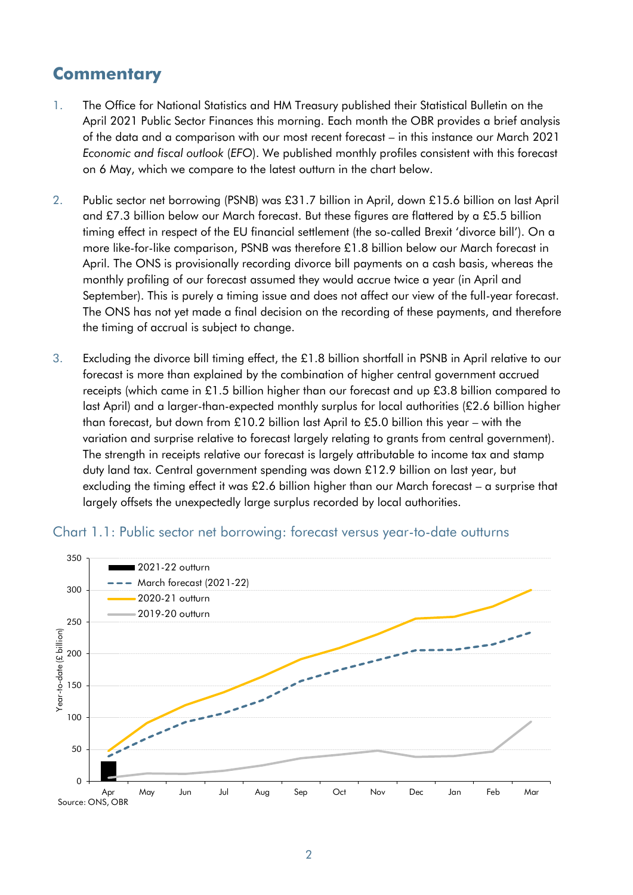# **Commentary**

- *Economic and fiscal outlook* (*EFO*). We published monthly profiles consistent with this forecast 1. The Office for National Statistics and HM Treasury published their Statistical Bulletin on the April 2021 Public Sector Finances this morning. Each month the OBR provides a brief analysis of the data and a comparison with our most recent forecast – in this instance our March 2021 on 6 May, which we compare to the latest outturn in the chart below.
- 2. Public sector net borrowing (PSNB) was £31.7 billion in April, down £15.6 billion on last April and £7.3 billion below our March forecast. But these figures are flattered by a £5.5 billion timing effect in respect of the EU financial settlement (the so-called Brexit 'divorce bill'). On a more like-for-like comparison, PSNB was therefore £1.8 billion below our March forecast in April. The ONS is provisionally recording divorce bill payments on a cash basis, whereas the monthly profiling of our forecast assumed they would accrue twice a year (in April and September). This is purely a timing issue and does not affect our view of the full-year forecast. The ONS has not yet made a final decision on the recording of these payments, and therefore the timing of accrual is subject to change.
- 3. Excluding the divorce bill timing effect, the £1.8 billion shortfall in PSNB in April relative to our forecast is more than explained by the combination of higher central government accrued receipts (which came in £1.5 billion higher than our forecast and up £3.8 billion compared to last April) and a larger-than-expected monthly surplus for local authorities (£2.6 billion higher than forecast, but down from £10.2 billion last April to £5.0 billion this year – with the variation and surprise relative to forecast largely relating to grants from central government). The strength in receipts relative our forecast is largely attributable to income tax and stamp duty land tax. Central government spending was down £12.9 billion on last year, but excluding the timing effect it was £2.6 billion higher than our March forecast – a surprise that largely offsets the unexpectedly large surplus recorded by local authorities.



#### Chart 1.1: Public sector net borrowing: forecast versus year-to-date outturns